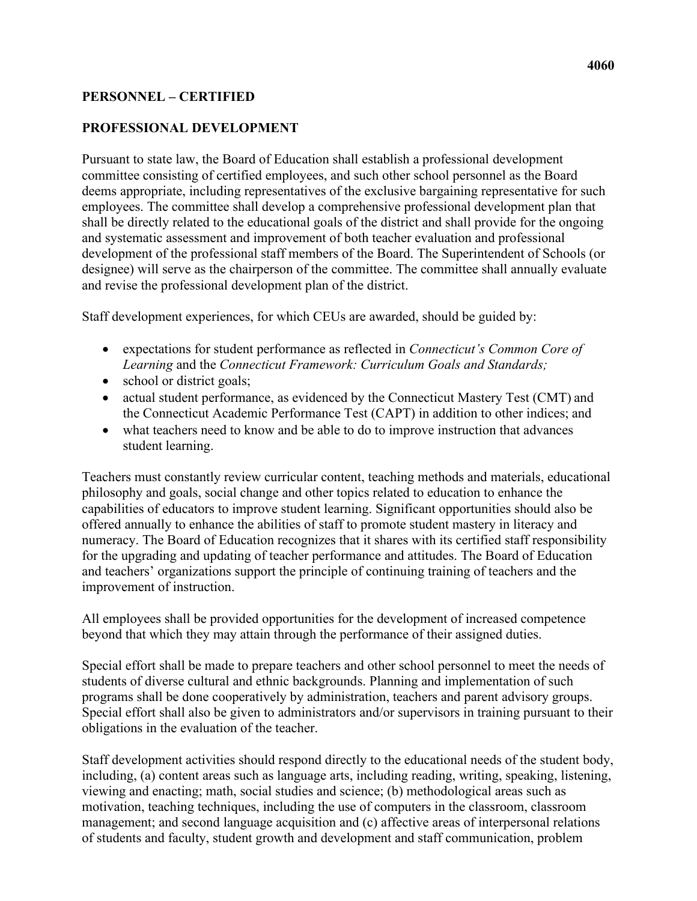## **PERSONNEL – CERTIFIED**

#### **PROFESSIONAL DEVELOPMENT**

Pursuant to state law, the Board of Education shall establish a professional development committee consisting of certified employees, and such other school personnel as the Board deems appropriate, including representatives of the exclusive bargaining representative for such employees. The committee shall develop a comprehensive professional development plan that shall be directly related to the educational goals of the district and shall provide for the ongoing and systematic assessment and improvement of both teacher evaluation and professional development of the professional staff members of the Board. The Superintendent of Schools (or designee) will serve as the chairperson of the committee. The committee shall annually evaluate and revise the professional development plan of the district.

Staff development experiences, for which CEUs are awarded, should be guided by:

- • expectations for student performance as reflected in *Connecticut's Common Core of Learning* and the *Connecticut Framework: Curriculum Goals and Standards;*
- school or district goals;
- the Connecticut Academic Performance Test (CAPT) in addition to other indices; and • actual student performance, as evidenced by the Connecticut Mastery Test (CMT) and
- student learning. • what teachers need to know and be able to do to improve instruction that advances

Teachers must constantly review curricular content, teaching methods and materials, educational philosophy and goals, social change and other topics related to education to enhance the capabilities of educators to improve student learning. Significant opportunities should also be offered annually to enhance the abilities of staff to promote student mastery in literacy and numeracy. The Board of Education recognizes that it shares with its certified staff responsibility for the upgrading and updating of teacher performance and attitudes. The Board of Education and teachers' organizations support the principle of continuing training of teachers and the improvement of instruction.

All employees shall be provided opportunities for the development of increased competence beyond that which they may attain through the performance of their assigned duties.

Special effort shall be made to prepare teachers and other school personnel to meet the needs of students of diverse cultural and ethnic backgrounds. Planning and implementation of such programs shall be done cooperatively by administration, teachers and parent advisory groups. Special effort shall also be given to administrators and/or supervisors in training pursuant to their obligations in the evaluation of the teacher.

 including, (a) content areas such as language arts, including reading, writing, speaking, listening, of students and faculty, student growth and development and staff communication, problem Staff development activities should respond directly to the educational needs of the student body, viewing and enacting; math, social studies and science; (b) methodological areas such as motivation, teaching techniques, including the use of computers in the classroom, classroom management; and second language acquisition and (c) affective areas of interpersonal relations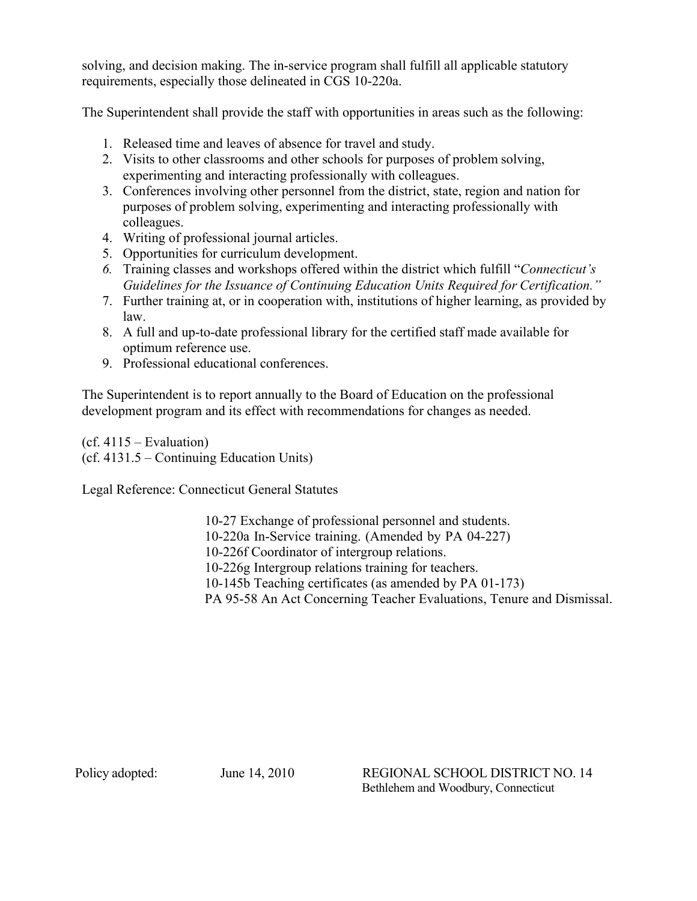solving, and decision making. The in-service program shall fulfill all applicable statutory requirements, especially those delineated in CGS 10-220a.

The Superintendent shall provide the staff with opportunities in areas such as the following:

- 1. Released time and leaves of absence for travel and study.
- experimenting and interacting professionally with colleagues. 2. Visits to other classrooms and other schools for purposes of problem solving,
- 3. Conferences involving other personnel from the district, state, region and nation for purposes of problem solving, experimenting and interacting professionally with colleagues.
- 4. Writing of professional journal articles.
- 5. Opportunities for curriculum development.
- *6.* Training classes and workshops offered within the district which fulfill "*Connecticut's Guidelines for the Issuance of Continuing Education Units Required for Certification."*
- 7. Further training at, or in cooperation with, institutions of higher learning, as provided by law.
- optimum reference use. 8. A full and up-to-date professional library for the certified staff made available for
- 9. Professional educational conferences.

The Superintendent is to report annually to the Board of Education on the professional development program and its effect with recommendations for changes as needed.

 $(cf. 4115 – Evaluation)$ (cf. 4131.5 – Continuing Education Units)

Legal Reference: Connecticut General Statutes

10-27 Exchange of professional personnel and students. 10-220a In-Service training. (Amended by PA 04-227) 10-226f Coordinator of intergroup relations. 10-226g Intergroup relations training for teachers. 10-145b Teaching certificates (as amended by PA 01-173) PA 95-58 An Act Concerning Teacher Evaluations, Tenure and Dismissal.

Policy adopted:

 Bethlehem and Woodbury, Connecticut June 14, 2010 REGIONAL SCHOOL DISTRICT NO. 14